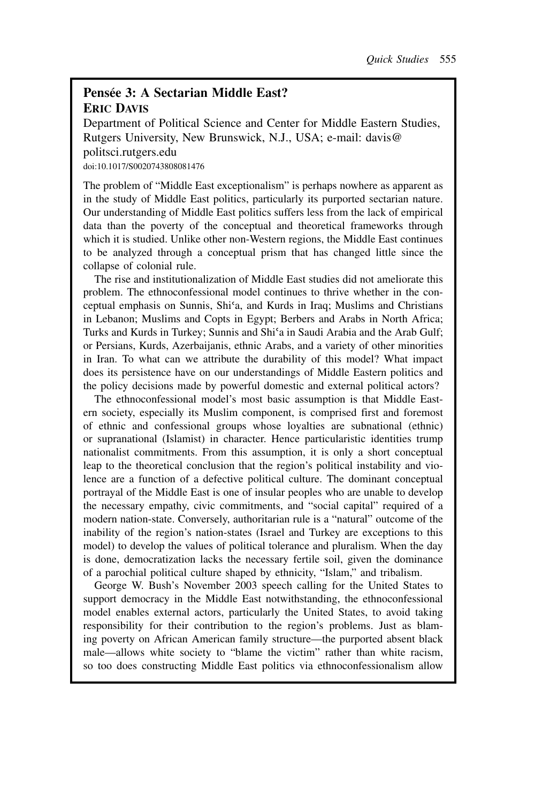## **Pensée 3: A Sectarian Middle East? ERIC DAVIS**

Department of Political Science and Center for Middle Eastern Studies, Rutgers University, New Brunswick, N.J., USA; e-mail: davis@ politsci.rutgers.edu doi:10.1017/S0020743808081476

The problem of "Middle East exceptionalism" is perhaps nowhere as apparent as in the study of Middle East politics, particularly its purported sectarian nature. Our understanding of Middle East politics suffers less from the lack of empirical data than the poverty of the conceptual and theoretical frameworks through which it is studied. Unlike other non-Western regions, the Middle East continues to be analyzed through a conceptual prism that has changed little since the collapse of colonial rule.

The rise and institutionalization of Middle East studies did not ameliorate this problem. The ethnoconfessional model continues to thrive whether in the conceptual emphasis on Sunnis, Shi*-*a, and Kurds in Iraq; Muslims and Christians in Lebanon; Muslims and Copts in Egypt; Berbers and Arabs in North Africa; Turks and Kurds in Turkey; Sunnis and Shi*-*a in Saudi Arabia and the Arab Gulf; or Persians, Kurds, Azerbaijanis, ethnic Arabs, and a variety of other minorities in Iran. To what can we attribute the durability of this model? What impact does its persistence have on our understandings of Middle Eastern politics and the policy decisions made by powerful domestic and external political actors?

The ethnoconfessional model's most basic assumption is that Middle Eastern society, especially its Muslim component, is comprised first and foremost of ethnic and confessional groups whose loyalties are subnational (ethnic) or supranational (Islamist) in character. Hence particularistic identities trump nationalist commitments. From this assumption, it is only a short conceptual leap to the theoretical conclusion that the region's political instability and violence are a function of a defective political culture. The dominant conceptual portrayal of the Middle East is one of insular peoples who are unable to develop the necessary empathy, civic commitments, and "social capital" required of a modern nation-state. Conversely, authoritarian rule is a "natural" outcome of the inability of the region's nation-states (Israel and Turkey are exceptions to this model) to develop the values of political tolerance and pluralism. When the day is done, democratization lacks the necessary fertile soil, given the dominance of a parochial political culture shaped by ethnicity, "Islam," and tribalism.

George W. Bush's November 2003 speech calling for the United States to support democracy in the Middle East notwithstanding, the ethnoconfessional model enables external actors, particularly the United States, to avoid taking responsibility for their contribution to the region's problems. Just as blaming poverty on African American family structure—the purported absent black male—allows white society to "blame the victim" rather than white racism, so too does constructing Middle East politics via ethnoconfessionalism allow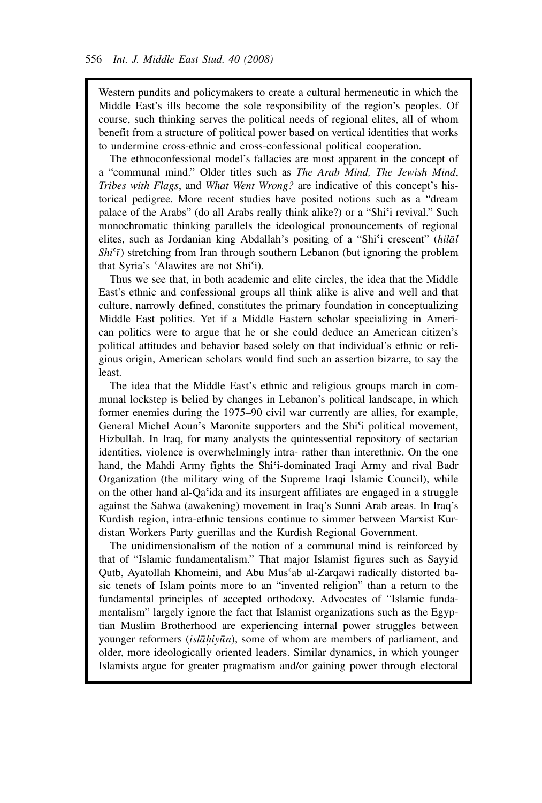Western pundits and policymakers to create a cultural hermeneutic in which the Middle East's ills become the sole responsibility of the region's peoples. Of course, such thinking serves the political needs of regional elites, all of whom benefit from a structure of political power based on vertical identities that works to undermine cross-ethnic and cross-confessional political cooperation.

The ethnoconfessional model's fallacies are most apparent in the concept of a "communal mind." Older titles such as *The Arab Mind, The Jewish Mind*, *Tribes with Flags*, and *What Went Wrong?* are indicative of this concept's historical pedigree. More recent studies have posited notions such as a "dream palace of the Arabs" (do all Arabs really think alike?) or a "Shi<sup>c</sup>i revival." Such monochromatic thinking parallels the ideological pronouncements of regional elites, such as Jordanian king Abdallah's positing of a "Shi'i crescent" (hilal *Shi<sup>c</sup>i*) stretching from Iran through southern Lebanon (but ignoring the problem that Syria's *-*Alawites are not Shi*-*i).

Thus we see that, in both academic and elite circles, the idea that the Middle East's ethnic and confessional groups all think alike is alive and well and that culture, narrowly defined, constitutes the primary foundation in conceptualizing Middle East politics. Yet if a Middle Eastern scholar specializing in American politics were to argue that he or she could deduce an American citizen's political attitudes and behavior based solely on that individual's ethnic or religious origin, American scholars would find such an assertion bizarre, to say the least.

The idea that the Middle East's ethnic and religious groups march in communal lockstep is belied by changes in Lebanon's political landscape, in which former enemies during the 1975–90 civil war currently are allies, for example, General Michel Aoun's Maronite supporters and the Shi<sup>c</sup>i political movement, Hizbullah. In Iraq, for many analysts the quintessential repository of sectarian identities, violence is overwhelmingly intra- rather than interethnic. On the one hand, the Mahdi Army fights the Shi<sup>c</sup>i-dominated Iraqi Army and rival Badr Organization (the military wing of the Supreme Iraqi Islamic Council), while on the other hand al-Qa<sup>c</sup>ida and its insurgent affiliates are engaged in a struggle against the Sahwa (awakening) movement in Iraq's Sunni Arab areas. In Iraq's Kurdish region, intra-ethnic tensions continue to simmer between Marxist Kurdistan Workers Party guerillas and the Kurdish Regional Government.

The unidimensionalism of the notion of a communal mind is reinforced by that of "Islamic fundamentalism." That major Islamist figures such as Sayyid Qutb, Ayatollah Khomeini, and Abu Mus'ab al-Zarqawi radically distorted basic tenets of Islam points more to an "invented religion" than a return to the fundamental principles of accepted orthodoxy. Advocates of "Islamic fundamentalism" largely ignore the fact that Islamist organizations such as the Egyptian Muslim Brotherhood are experiencing internal power struggles between younger reformers (*islāhiyūn*), some of whom are members of parliament, and older, more ideologically oriented leaders. Similar dynamics, in which younger Islamists argue for greater pragmatism and/or gaining power through electoral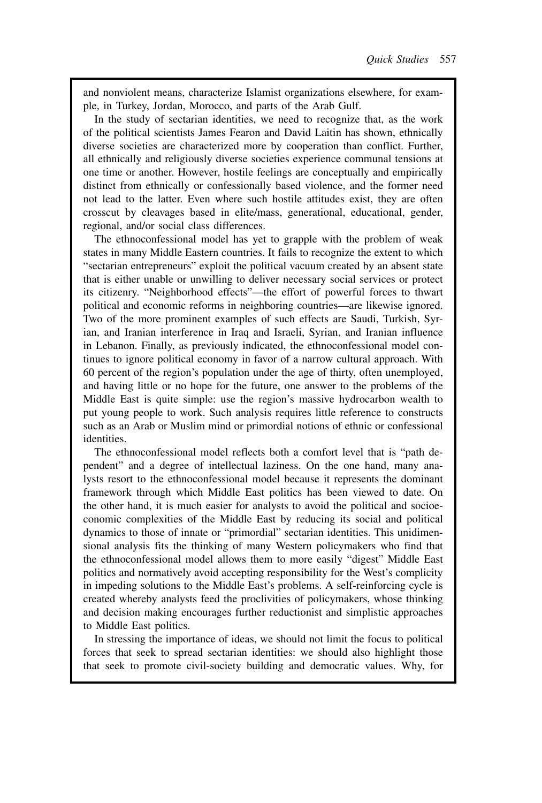and nonviolent means, characterize Islamist organizations elsewhere, for example, in Turkey, Jordan, Morocco, and parts of the Arab Gulf.

In the study of sectarian identities, we need to recognize that, as the work of the political scientists James Fearon and David Laitin has shown, ethnically diverse societies are characterized more by cooperation than conflict. Further, all ethnically and religiously diverse societies experience communal tensions at one time or another. However, hostile feelings are conceptually and empirically distinct from ethnically or confessionally based violence, and the former need not lead to the latter. Even where such hostile attitudes exist, they are often crosscut by cleavages based in elite/mass, generational, educational, gender, regional, and/or social class differences.

The ethnoconfessional model has yet to grapple with the problem of weak states in many Middle Eastern countries. It fails to recognize the extent to which "sectarian entrepreneurs" exploit the political vacuum created by an absent state that is either unable or unwilling to deliver necessary social services or protect its citizenry. "Neighborhood effects"—the effort of powerful forces to thwart political and economic reforms in neighboring countries—are likewise ignored. Two of the more prominent examples of such effects are Saudi, Turkish, Syrian, and Iranian interference in Iraq and Israeli, Syrian, and Iranian influence in Lebanon. Finally, as previously indicated, the ethnoconfessional model continues to ignore political economy in favor of a narrow cultural approach. With 60 percent of the region's population under the age of thirty, often unemployed, and having little or no hope for the future, one answer to the problems of the Middle East is quite simple: use the region's massive hydrocarbon wealth to put young people to work. Such analysis requires little reference to constructs such as an Arab or Muslim mind or primordial notions of ethnic or confessional identities.

The ethnoconfessional model reflects both a comfort level that is "path dependent" and a degree of intellectual laziness. On the one hand, many analysts resort to the ethnoconfessional model because it represents the dominant framework through which Middle East politics has been viewed to date. On the other hand, it is much easier for analysts to avoid the political and socioeconomic complexities of the Middle East by reducing its social and political dynamics to those of innate or "primordial" sectarian identities. This unidimensional analysis fits the thinking of many Western policymakers who find that the ethnoconfessional model allows them to more easily "digest" Middle East politics and normatively avoid accepting responsibility for the West's complicity in impeding solutions to the Middle East's problems. A self-reinforcing cycle is created whereby analysts feed the proclivities of policymakers, whose thinking and decision making encourages further reductionist and simplistic approaches to Middle East politics.

In stressing the importance of ideas, we should not limit the focus to political forces that seek to spread sectarian identities: we should also highlight those that seek to promote civil-society building and democratic values. Why, for